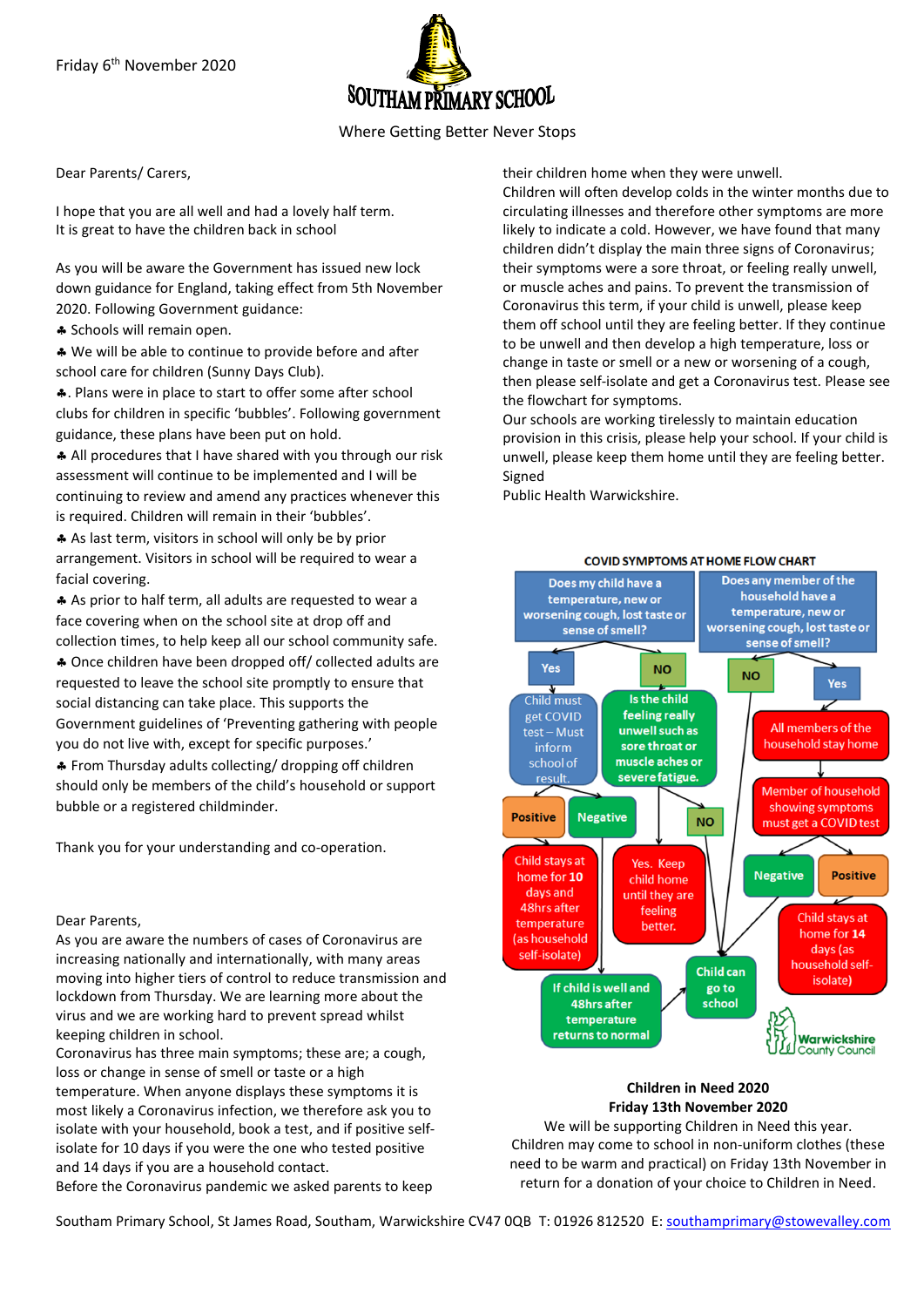

# Where Getting Better Never Stops

Dear Parents/ Carers,

I hope that you are all well and had a lovely half term. It is great to have the children back in school

As you will be aware the Government has issued new lock down guidance for England, taking effect from 5th November 2020. Following Government guidance:

\* Schools will remain open.

\* We will be able to continue to provide before and after school care for children (Sunny Days Club).

. Plans were in place to start to offer some after school clubs for children in specific 'bubbles'. Following government guidance, these plans have been put on hold.

All procedures that I have shared with you through our risk assessment will continue to be implemented and I will be continuing to review and amend any practices whenever this is required. Children will remain in their 'bubbles'.

 As last term, visitors in school will only be by prior arrangement. Visitors in school will be required to wear a facial covering.

 As prior to half term, all adults are requested to wear a face covering when on the school site at drop off and collection times, to help keep all our school community safe.

 Once children have been dropped off/ collected adults are requested to leave the school site promptly to ensure that social distancing can take place. This supports the Government guidelines of 'Preventing gathering with people you do not live with, except for specific purposes.'

 From Thursday adults collecting/ dropping off children should only be members of the child's household or support bubble or a registered childminder.

Thank you for your understanding and co-operation.

### Dear Parents,

As you are aware the numbers of cases of Coronavirus are increasing nationally and internationally, with many areas moving into higher tiers of control to reduce transmission and lockdown from Thursday. We are learning more about the virus and we are working hard to prevent spread whilst keeping children in school.

Coronavirus has three main symptoms; these are; a cough, loss or change in sense of smell or taste or a high temperature. When anyone displays these symptoms it is most likely a Coronavirus infection, we therefore ask you to isolate with your household, book a test, and if positive selfisolate for 10 days if you were the one who tested positive and 14 days if you are a household contact. Before the Coronavirus pandemic we asked parents to keep

their children home when they were unwell.

Children will often develop colds in the winter months due to circulating illnesses and therefore other symptoms are more likely to indicate a cold. However, we have found that many children didn't display the main three signs of Coronavirus; their symptoms were a sore throat, or feeling really unwell, or muscle aches and pains. To prevent the transmission of Coronavirus this term, if your child is unwell, please keep them off school until they are feeling better. If they continue to be unwell and then develop a high temperature, loss or change in taste or smell or a new or worsening of a cough, then please self-isolate and get a Coronavirus test. Please see the flowchart for symptoms.

Our schools are working tirelessly to maintain education provision in this crisis, please help your school. If your child is unwell, please keep them home until they are feeling better. Signed

Public Health Warwickshire.



### **Children in Need 2020 Friday 13th November 2020**

We will be supporting Children in Need this year. Children may come to school in non-uniform clothes (these need to be warm and practical) on Friday 13th November in return for a donation of your choice to Children in Need.

Southam Primary School, St James Road, Southam, Warwickshire CV47 0QB T: 01926 812520 E[: southamprimary@stowevalley.com](mailto:southamprimary@stowevalley.com)